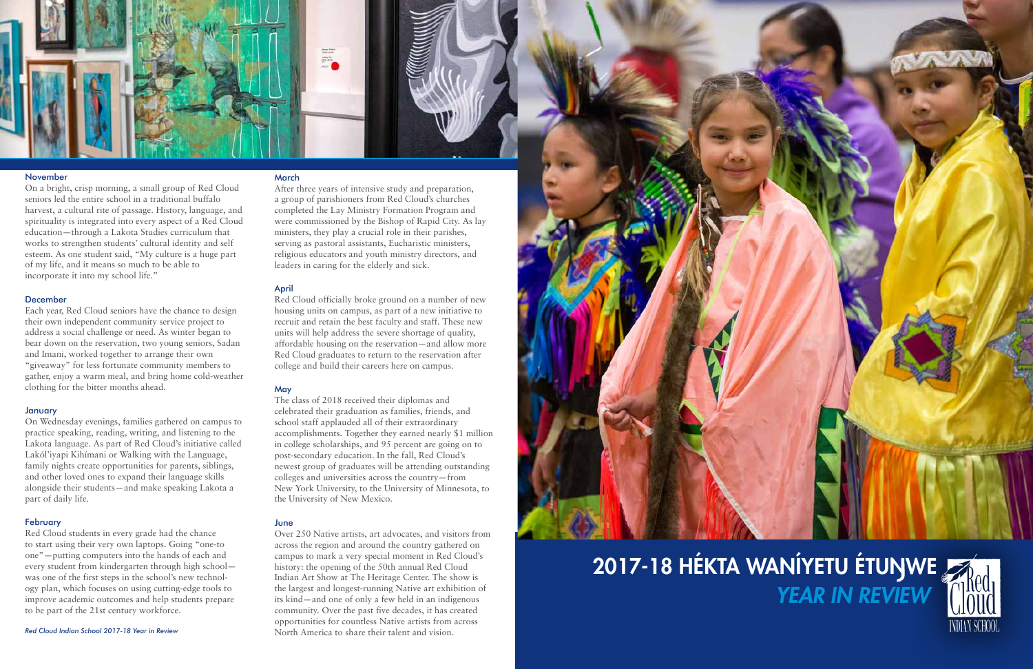#### March

After three years of intensive study and preparation, a group of parishioners from Red Cloud's churches completed the Lay Ministry Formation Program and were commissioned by the Bishop of Rapid City. As lay ministers, they play a crucial role in their parishes, serving as pastoral assistants, Eucharistic ministers, religious educators and youth ministry directors, and leaders in caring for the elderly and sick.

#### April

Red Cloud officially broke ground on a number of new housing units on campus, as part of a new initiative to recruit and retain the best faculty and staff. These new units will help address the severe shortage of quality, affordable housing on the reservation—and allow more Red Cloud graduates to return to the reservation after college and build their careers here on campus.

### **May**

Over 250 Native artists, art advocates, and visitors from across the region and around the country gathered on campus to mark a very special moment in Red Cloud's history: the opening of the 50th annual Red Cloud Indian Art Show at The Heritage Center. The show is the largest and longest-running Native art exhibition of its kind—and one of only a few held in an indigenous community. Over the past five decades, it has created opportunities for countless Native artists from across Red Cloud Indian School 2017-18 Year in Review *Red Cloud Indian School 2017-18 Year in Review Red Cloud Indian School 2017-18 Year in Review* 



The class of 2018 received their diplomas and celebrated their graduation as families, friends, and school staff applauded all of their extraordinary accomplishments. Together they earned nearly \$1 million in college scholarships, and 95 percent are going on to post-secondary education. In the fall, Red Cloud's newest group of graduates will be attending outstanding colleges and universities across the country—from New York University, to the University of Minnesota, to the University of New Mexico.

#### June



#### November

On a bright, crisp morning, a small group of Red Cloud seniors led the entire school in a traditional buffalo harvest, a cultural rite of passage. History, language, and spirituality is integrated into every aspect of a Red Cloud education—through a Lakota Studies curriculum that works to strengthen students' cultural identity and self esteem. As one student said, "My culture is a huge part of my life, and it means so much to be able to incorporate it into my school life."

#### December

Each year, Red Cloud seniors have the chance to design their own independent community service project to address a social challenge or need. As winter began to bear down on the reservation, two young seniors, Sadan and Imani, worked together to arrange their own "giveaway" for less fortunate community members to gather, enjoy a warm meal, and bring home cold-weather clothing for the bitter months ahead.

#### January

On Wednesday evenings, families gathered on campus to practice speaking, reading, writing, and listening to the Lakota language. As part of Red Cloud's initiative called Lakól'iyapi Kihímani or Walking with the Language, family nights create opportunities for parents, siblings, and other loved ones to expand their language skills alongside their students—and make speaking Lakota a part of daily life.

#### **February**

Red Cloud students in every grade had the chance to start using their very own laptops. Going "one-to one"—putting computers into the hands of each and every student from kindergarten through high school was one of the first steps in the school's new technology plan, which focuses on using cutting-edge tools to improve academic outcomes and help students prepare to be part of the 21st century workforce.

# 2017-18 HÉKTA WANÍYETU ÉTUNWE  *YEAR IN REVIEW*